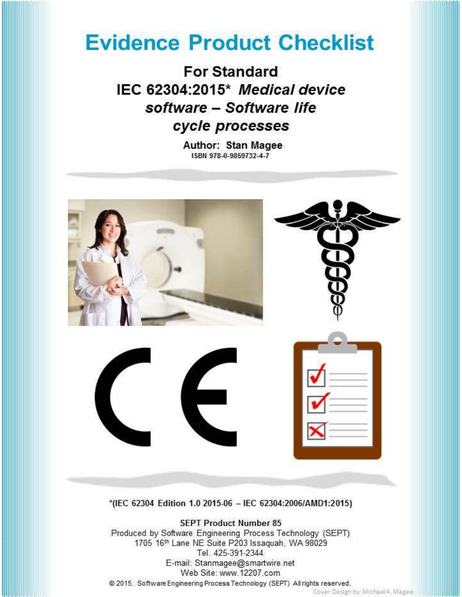# **Evidence Product Checklist**

**For Standard** IEC 62304:2015\* Medical device software - Software life cycle processes

> Author: Stan Magee ISBN 978-0-9859732-4-7



Web Site: www.12207.com

10/2016<br>10/2016 10:00:00

@ 2015. Software Engineering Process Technology (SEPT) All rights reserved.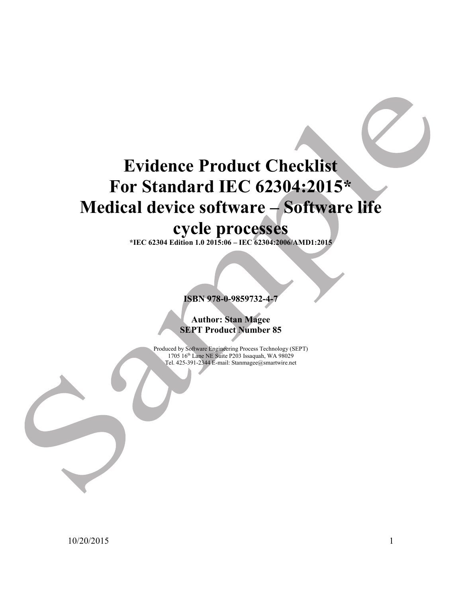## Evidence Product Checklist For Standard IEC 62304:2015\* Medical device software – Software life cycle processes

\*IEC 62304 Edition 1.0 2015:06 – IEC 62304:2006/AMD1:2015

ISBN 978-0-9859732-4-7

Author: Stan Magee SEPT Product Number 85

Produced by Software Engineering Process Technology (SEPT) 1705 16th Lane NE Suite P203 Issaquah, WA 98029 Tel. 425-391-2344 E-mail: Stanmagee@smartwire.net

10/20/2015 1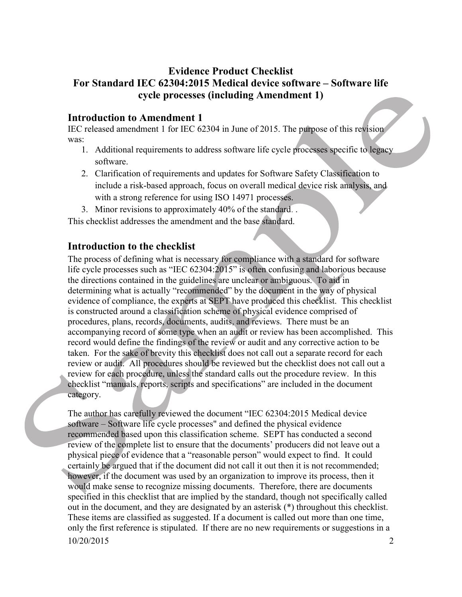### Evidence Product Checklist For Standard IEC 62304:2015 Medical device software – Software life cycle processes (including Amendment 1)

#### Introduction to Amendment 1

IEC released amendment 1 for IEC 62304 in June of 2015. The purpose of this revision was:

- 1. Additional requirements to address software life cycle processes specific to legacy software.
- 2. Clarification of requirements and updates for Software Safety Classification to include a risk-based approach, focus on overall medical device risk analysis, and with a strong reference for using ISO 14971 processes.
- 3. Minor revisions to approximately 40% of the standard. .

This checklist addresses the amendment and the base standard.

#### Introduction to the checklist

The process of defining what is necessary for compliance with a standard for software life cycle processes such as "IEC 62304:2015" is often confusing and laborious because the directions contained in the guidelines are unclear or ambiguous. To aid in determining what is actually "recommended" by the document in the way of physical evidence of compliance, the experts at SEPT have produced this checklist. This checklist is constructed around a classification scheme of physical evidence comprised of procedures, plans, records, documents, audits, and reviews. There must be an accompanying record of some type when an audit or review has been accomplished. This record would define the findings of the review or audit and any corrective action to be taken. For the sake of brevity this checklist does not call out a separate record for each review or audit. All procedures should be reviewed but the checklist does not call out a review for each procedure, unless the standard calls out the procedure review. In this checklist "manuals, reports, scripts and specifications" are included in the document category.

10/20/2015 2 The author has carefully reviewed the document "IEC 62304:2015 Medical device software – Software life cycle processes" and defined the physical evidence recommended based upon this classification scheme. SEPT has conducted a second review of the complete list to ensure that the documents' producers did not leave out a physical piece of evidence that a "reasonable person" would expect to find. It could certainly be argued that if the document did not call it out then it is not recommended; however, if the document was used by an organization to improve its process, then it would make sense to recognize missing documents. Therefore, there are documents specified in this checklist that are implied by the standard, though not specifically called out in the document, and they are designated by an asterisk (\*) throughout this checklist. These items are classified as suggested. If a document is called out more than one time, only the first reference is stipulated. If there are no new requirements or suggestions in a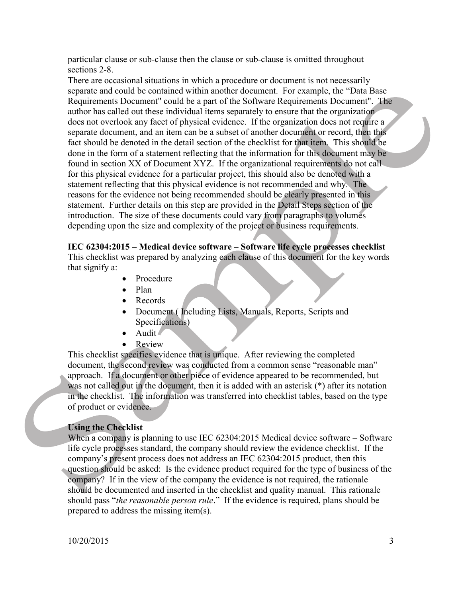particular clause or sub-clause then the clause or sub-clause is omitted throughout sections 2-8.

There are occasional situations in which a procedure or document is not necessarily separate and could be contained within another document. For example, the "Data Base Requirements Document" could be a part of the Software Requirements Document". The author has called out these individual items separately to ensure that the organization does not overlook any facet of physical evidence. If the organization does not require a separate document, and an item can be a subset of another document or record, then this fact should be denoted in the detail section of the checklist for that item. This should be done in the form of a statement reflecting that the information for this document may be found in section XX of Document XYZ. If the organizational requirements do not call for this physical evidence for a particular project, this should also be denoted with a statement reflecting that this physical evidence is not recommended and why. The reasons for the evidence not being recommended should be clearly presented in this statement. Further details on this step are provided in the Detail Steps section of the introduction. The size of these documents could vary from paragraphs to volumes depending upon the size and complexity of the project or business requirements.

#### IEC 62304:2015 – Medical device software – Software life cycle processes checklist

This checklist was prepared by analyzing each clause of this document for the key words that signify a:

- Procedure
- Plan
- Records
- Document (Including Lists, Manuals, Reports, Scripts and Specifications)
- Audit
- Review

This checklist specifies evidence that is unique. After reviewing the completed document, the second review was conducted from a common sense "reasonable man" approach. If a document or other piece of evidence appeared to be recommended, but was not called out in the document, then it is added with an asterisk (\*) after its notation in the checklist. The information was transferred into checklist tables, based on the type of product or evidence.

#### Using the Checklist

When a company is planning to use IEC 62304:2015 Medical device software – Software life cycle processes standard, the company should review the evidence checklist. If the company's present process does not address an IEC 62304:2015 product, then this question should be asked: Is the evidence product required for the type of business of the company? If in the view of the company the evidence is not required, the rationale should be documented and inserted in the checklist and quality manual. This rationale should pass "*the reasonable person rule*." If the evidence is required, plans should be prepared to address the missing item(s).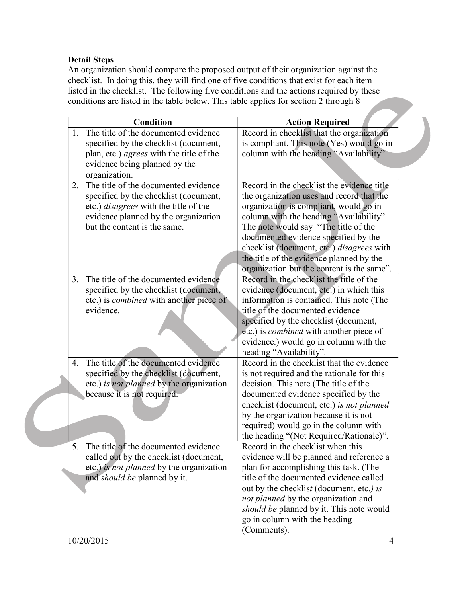#### Detail Steps

An organization should compare the proposed output of their organization against the checklist. In doing this, they will find one of five conditions that exist for each item listed in the checklist. The following five conditions and the actions required by these conditions are listed in the table below. This table applies for section 2 through 8

|    | <b>Condition</b>                                | <b>Action Required</b>                         |
|----|-------------------------------------------------|------------------------------------------------|
| 1. | The title of the documented evidence            | Record in checklist that the organization      |
|    | specified by the checklist (document,           | is compliant. This note (Yes) would go in      |
|    | plan, etc.) <i>agrees</i> with the title of the | column with the heading "Availability".        |
|    | evidence being planned by the                   |                                                |
|    | organization.                                   |                                                |
| 2. | The title of the documented evidence            | Record in the checklist the evidence title     |
|    | specified by the checklist (document,           | the organization uses and record that the      |
|    | etc.) <i>disagrees</i> with the title of the    | organization is compliant, would go in         |
|    | evidence planned by the organization            | column with the heading "Availability".        |
|    | but the content is the same.                    | The note would say "The title of the           |
|    |                                                 | documented evidence specified by the           |
|    |                                                 | checklist (document, etc.) disagrees with      |
|    |                                                 | the title of the evidence planned by the       |
|    |                                                 | organization but the content is the same".     |
| 3. | The title of the documented evidence            | Record in the checklist the title of the       |
|    | specified by the checklist (document,           | evidence (document, etc.) in which this        |
|    | etc.) is <i>combined</i> with another piece of  | information is contained. This note (The       |
|    | evidence.                                       | title of the documented evidence               |
|    |                                                 | specified by the checklist (document,          |
|    |                                                 | etc.) is <i>combined</i> with another piece of |
|    |                                                 | evidence.) would go in column with the         |
|    |                                                 | heading "Availability".                        |
| 4. | The title of the documented evidence            | Record in the checklist that the evidence      |
|    | specified by the checklist (document,           | is not required and the rationale for this     |
|    | etc.) is not planned by the organization        | decision. This note (The title of the          |
|    | because it is not required.                     | documented evidence specified by the           |
|    |                                                 | checklist (document, etc.) is not planned      |
|    |                                                 | by the organization because it is not          |
|    |                                                 | required) would go in the column with          |
|    |                                                 | the heading "(Not Required/Rationale)".        |
|    | 5. The title of the documented evidence         | Record in the checklist when this              |
|    | called out by the checklist (document,          | evidence will be planned and reference a       |
|    | etc.) is not planned by the organization        | plan for accomplishing this task. (The         |
|    | and should be planned by it.                    | title of the documented evidence called        |
|    |                                                 | out by the checklist (document, etc.) is       |
|    |                                                 | not planned by the organization and            |
|    |                                                 | should be planned by it. This note would       |
|    |                                                 | go in column with the heading                  |
|    | 10/20/2015                                      | (Comments).                                    |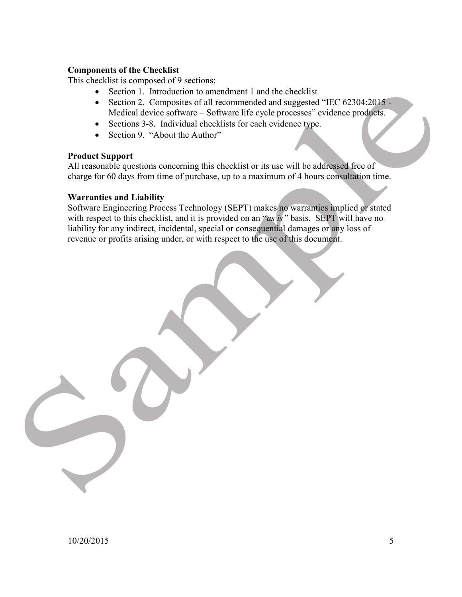#### Components of the Checklist

This checklist is composed of 9 sections:

- Section 1. Introduction to amendment 1 and the checklist
- Section 2. Composites of all recommended and suggested "IEC 62304:2015 -Medical device software – Software life cycle processes" evidence products.
- Sections 3-8. Individual checklists for each evidence type.
- Section 9. "About the Author"

#### Product Support

All reasonable questions concerning this checklist or its use will be addressed free of charge for 60 days from time of purchase, up to a maximum of 4 hours consultation time.

#### Warranties and Liability

Software Engineering Process Technology (SEPT) makes no warranties implied or stated with respect to this checklist, and it is provided on an "as is" basis. SEPT will have no liability for any indirect, incidental, special or consequential damages or any loss of revenue or profits arising under, or with respect to the use of this document.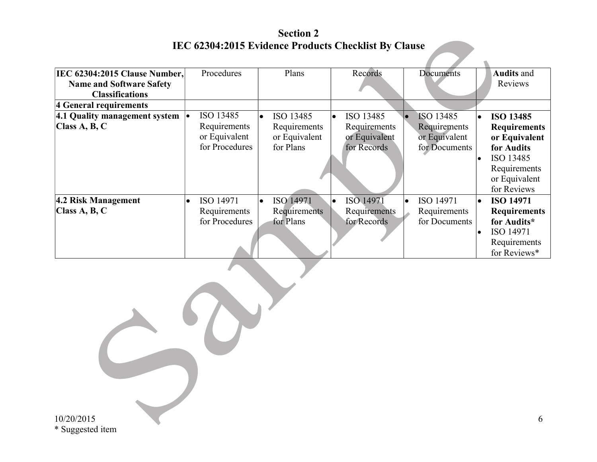Section 2 IEC 62304:2015 Evidence Products Checklist By Clause

| <b>IEC 62304:2015 Clause Number,</b> | Procedures             | Plans                  | Records                | Documents     | <b>Audits and</b>       |
|--------------------------------------|------------------------|------------------------|------------------------|---------------|-------------------------|
| <b>Name and Software Safety</b>      |                        |                        |                        |               | Reviews                 |
| <b>Classifications</b>               |                        |                        |                        |               |                         |
| 4 General requirements               |                        |                        |                        |               |                         |
| 4.1 Quality management system        | ISO 13485<br>l.        | ISO 13485<br>I۰        | ISO 13485<br>$\bullet$ | ISO 13485     | <b>ISO 13485</b><br>l.  |
| Class A, B, C                        | Requirements           | Requirements           | Requirements           | Requirements  | <b>Requirements</b>     |
|                                      | or Equivalent          | or Equivalent          | or Equivalent          | or Equivalent | or Equivalent           |
|                                      | for Procedures         | for Plans              | for Records            | for Documents | for Audits              |
|                                      |                        |                        |                        |               | ISO 13485               |
|                                      |                        |                        |                        |               | Requirements            |
|                                      |                        |                        |                        |               | or Equivalent           |
|                                      |                        |                        |                        |               | for Reviews             |
| 4.2 Risk Management                  | ISO 14971<br>$\bullet$ | ISO 14971<br>$\bullet$ | ISO 14971<br>$\bullet$ | ISO 14971     | <b>ISO 14971</b><br>le. |
| Class $A, B, C$                      | Requirements           | Requirements           | Requirements           | Requirements  | <b>Requirements</b>     |
|                                      | for Procedures         | for Plans              | for Records            | for Documents | for Audits*             |
|                                      |                        |                        |                        |               | ISO 14971<br>l o        |
|                                      |                        |                        |                        |               | Requirements            |
|                                      |                        |                        |                        |               | for Reviews*            |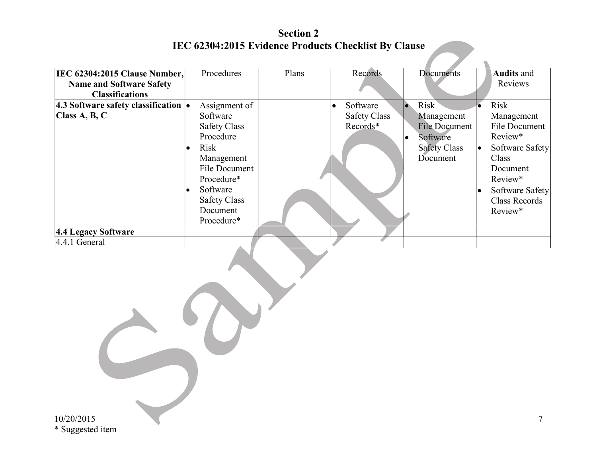Section 2 IEC 62304:2015 Evidence Products Checklist By Clause

| <b>IEC 62304:2015 Clause Number,</b>                     | Procedures               | Plans | Records             | Documents            | <b>Audits and</b>    |
|----------------------------------------------------------|--------------------------|-------|---------------------|----------------------|----------------------|
| <b>Name and Software Safety</b>                          |                          |       |                     |                      | Reviews              |
| <b>Classifications</b>                                   |                          |       |                     |                      |                      |
| 4.3 Software safety classification $\vert \bullet \vert$ | Assignment of            |       | Software            | Risk<br>le.          | <b>Risk</b>          |
| Class A, B, C                                            | Software                 |       | <b>Safety Class</b> | Management           | Management           |
|                                                          | <b>Safety Class</b>      |       | Records*            | <b>File Document</b> | File Document        |
|                                                          | Procedure                |       |                     | Software             | Review*              |
|                                                          | <b>Risk</b><br>$\bullet$ |       |                     | <b>Safety Class</b>  | Software Safety      |
|                                                          | Management               |       |                     | Document             | Class                |
|                                                          | File Document            |       |                     |                      | Document             |
|                                                          | Procedure*               |       |                     |                      | Review*              |
|                                                          | Software                 |       |                     |                      | Software Safety      |
|                                                          | <b>Safety Class</b>      |       |                     |                      | <b>Class Records</b> |
|                                                          | Document                 |       |                     |                      | Review*              |
|                                                          | Procedure*               |       |                     |                      |                      |
| 4.4 Legacy Software                                      |                          |       |                     |                      |                      |
| $4.4.1$ General                                          |                          |       |                     |                      |                      |

10/20/2015 \* Suggested item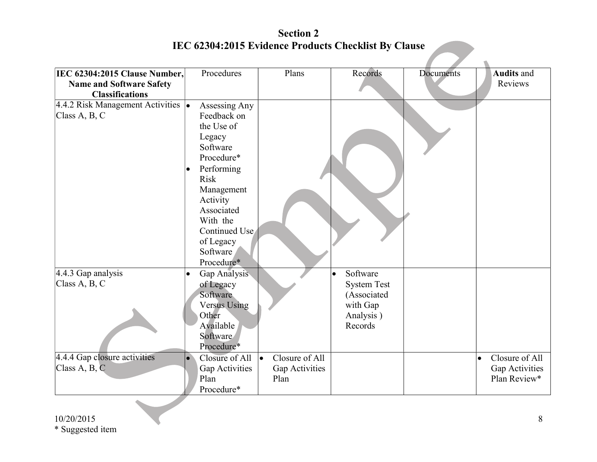Section 2 IEC 62304:2015 Evidence Products Checklist By Clause

| <b>IEC 62304:2015 Clause Number,</b><br><b>Name and Software Safety</b><br><b>Classifications</b> | Procedures                                                                                                                                                                                                              | Plans                       | Records                                         | Documents | <b>Audits and</b><br>Reviews   |
|---------------------------------------------------------------------------------------------------|-------------------------------------------------------------------------------------------------------------------------------------------------------------------------------------------------------------------------|-----------------------------|-------------------------------------------------|-----------|--------------------------------|
| 4.4.2 Risk Management Activities  .<br>Class A, B, C                                              | Assessing Any<br>Feedback on<br>the Use of<br>Legacy<br>Software<br>Procedure*<br>Performing<br><b>Risk</b><br>Management<br>Activity<br>Associated<br>With the<br>Continued Use<br>of Legacy<br>Software<br>Procedure* |                             |                                                 |           |                                |
| 4.4.3 Gap analysis<br>Class $A, B, C$                                                             | Gap Analysis<br>$\bullet$<br>of Legacy                                                                                                                                                                                  |                             | Software<br>$\bullet$<br><b>System Test</b>     |           |                                |
|                                                                                                   | Software<br><b>Versus Using</b><br>Other<br>Available<br>Software<br>Procedure*                                                                                                                                         |                             | (Associated<br>with Gap<br>Analysis)<br>Records |           |                                |
| 4.4.4 Gap closure activities                                                                      | Closure of All<br>$\bullet$                                                                                                                                                                                             | Closure of All<br>$\bullet$ |                                                 |           | Closure of All<br>$\bullet$    |
| Class A, B, C                                                                                     | Gap Activities<br>Plan<br>Procedure*                                                                                                                                                                                    | Gap Activities<br>Plan      |                                                 |           | Gap Activities<br>Plan Review* |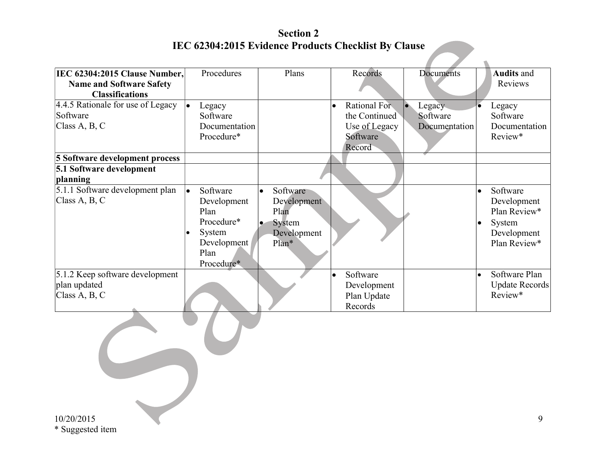Section 2 IEC 62304:2015 Evidence Products Checklist By Clause

| IEC 62304:2015 Clause Number,<br><b>Name and Software Safety</b> | Procedures                                                                                          | Plans                                                                                       | Records                                                                 | Documents                           | <b>Audits and</b><br>Reviews                                                                  |
|------------------------------------------------------------------|-----------------------------------------------------------------------------------------------------|---------------------------------------------------------------------------------------------|-------------------------------------------------------------------------|-------------------------------------|-----------------------------------------------------------------------------------------------|
| <b>Classifications</b>                                           |                                                                                                     |                                                                                             |                                                                         |                                     |                                                                                               |
| 4.4.5 Rationale for use of Legacy<br>Software<br>Class A, B, C   | Legacy<br>l o<br>Software<br>Documentation<br>Procedure*                                            |                                                                                             | Rational For<br>$\bullet$<br>the Continued<br>Use of Legacy<br>Software | Legacy<br>Software<br>Documentation | Legacy<br>$\bullet$<br>Software<br>Documentation<br>Review*                                   |
| 5 Software development process                                   |                                                                                                     |                                                                                             | Record                                                                  |                                     |                                                                                               |
| 5.1 Software development<br>planning                             |                                                                                                     |                                                                                             |                                                                         |                                     |                                                                                               |
| 5.1.1 Software development plan<br>Class A, B, C                 | Software<br>l o<br>Development<br>Plan<br>Procedure*<br>System<br>Development<br>Plan<br>Procedure* | Software<br>$\bullet$<br>Development<br>Plan<br>System<br>$\bullet$<br>Development<br>Plan* |                                                                         |                                     | Software<br>Development<br>Plan Review*<br>System<br>$\bullet$<br>Development<br>Plan Review* |
| 5.1.2 Keep software development<br>plan updated<br>Class A, B, C |                                                                                                     |                                                                                             | Software<br>$\bullet$<br>Development<br>Plan Update<br>Records          |                                     | Software Plan<br>Update Records<br>Review*                                                    |

 $\mathcal{L}$